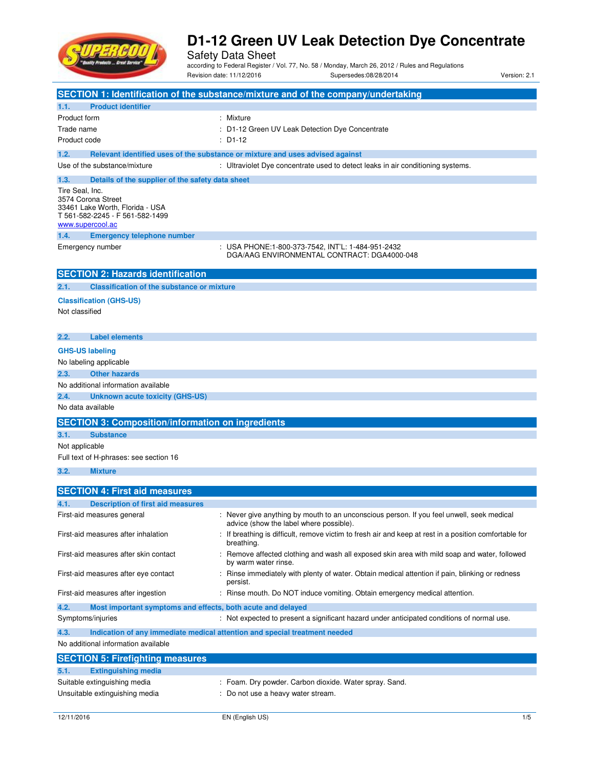

Safety Data Sheet according to Federal Register / Vol. 77, No. 58 / Monday, March 26, 2012 / Rules and Regulations Revision date: 11/12/2016 Supersedes:08/28/2014 Version: 2.1

|                                                                                    | SECTION 1: Identification of the substance/mixture and of the company/undertaking                                                    |
|------------------------------------------------------------------------------------|--------------------------------------------------------------------------------------------------------------------------------------|
|                                                                                    |                                                                                                                                      |
| <b>Product identifier</b><br>1.1.<br>Product form                                  | : Mixture                                                                                                                            |
| Trade name                                                                         | : D1-12 Green UV Leak Detection Dye Concentrate                                                                                      |
| Product code                                                                       | $: $ D1-12                                                                                                                           |
|                                                                                    |                                                                                                                                      |
| 1.2.                                                                               | Relevant identified uses of the substance or mixture and uses advised against                                                        |
| Use of the substance/mixture                                                       | : Ultraviolet Dye concentrate used to detect leaks in air conditioning systems.                                                      |
| Details of the supplier of the safety data sheet<br>1.3.                           |                                                                                                                                      |
| Tire Seal, Inc.<br>3574 Corona Street                                              |                                                                                                                                      |
| 33461 Lake Worth, Florida - USA                                                    |                                                                                                                                      |
| T 561-582-2245 - F 561-582-1499                                                    |                                                                                                                                      |
| www.supercool.ac                                                                   |                                                                                                                                      |
| <b>Emergency telephone number</b><br>1.4.                                          |                                                                                                                                      |
| Emergency number                                                                   | :   USA PHONE:1-800-373-7542, INT'L: 1-484-951-2432<br>DGA/AAG ENVIRONMENTAL CONTRACT: DGA4000-048                                   |
|                                                                                    |                                                                                                                                      |
| <b>SECTION 2: Hazards identification</b>                                           |                                                                                                                                      |
| <b>Classification of the substance or mixture</b><br>2.1.                          |                                                                                                                                      |
| <b>Classification (GHS-US)</b>                                                     |                                                                                                                                      |
| Not classified                                                                     |                                                                                                                                      |
|                                                                                    |                                                                                                                                      |
| 2.2.<br><b>Label elements</b>                                                      |                                                                                                                                      |
| <b>GHS-US labeling</b>                                                             |                                                                                                                                      |
| No labeling applicable                                                             |                                                                                                                                      |
| <b>Other hazards</b><br>2.3.                                                       |                                                                                                                                      |
| No additional information available                                                |                                                                                                                                      |
| <b>Unknown acute toxicity (GHS-US)</b><br>2.4.                                     |                                                                                                                                      |
| No data available                                                                  |                                                                                                                                      |
| <b>SECTION 3: Composition/information on ingredients</b>                           |                                                                                                                                      |
| 3.1.<br><b>Substance</b>                                                           |                                                                                                                                      |
| Not applicable                                                                     |                                                                                                                                      |
| Full text of H-phrases: see section 16                                             |                                                                                                                                      |
| 3.2.<br><b>Mixture</b>                                                             |                                                                                                                                      |
|                                                                                    |                                                                                                                                      |
| <b>SECTION 4: First aid measures</b>                                               |                                                                                                                                      |
| 4.1.<br><b>Description of first aid measures</b>                                   |                                                                                                                                      |
| First-aid measures general                                                         | : Never give anything by mouth to an unconscious person. If you feel unwell, seek medical<br>advice (show the label where possible). |
| First-aid measures after inhalation                                                | If breathing is difficult, remove victim to fresh air and keep at rest in a position comfortable for<br>breathing.                   |
| First-aid measures after skin contact                                              | Remove affected clothing and wash all exposed skin area with mild soap and water, followed<br>by warm water rinse.                   |
| First-aid measures after eye contact                                               | Rinse immediately with plenty of water. Obtain medical attention if pain, blinking or redness<br>persist.                            |
| First-aid measures after ingestion                                                 | Rinse mouth. Do NOT induce vomiting. Obtain emergency medical attention.                                                             |
| 4.2.<br>Most important symptoms and effects, both acute and delayed                |                                                                                                                                      |
| Symptoms/injuries                                                                  | : Not expected to present a significant hazard under anticipated conditions of normal use.                                           |
| 4.3.<br>Indication of any immediate medical attention and special treatment needed |                                                                                                                                      |
| No additional information available                                                |                                                                                                                                      |
| <b>SECTION 5: Firefighting measures</b>                                            |                                                                                                                                      |
| <b>Extinguishing media</b><br>5.1.                                                 |                                                                                                                                      |
| Suitable extinguishing media                                                       | : Foam. Dry powder. Carbon dioxide. Water spray. Sand.                                                                               |
| Unsuitable extinguishing media                                                     | Do not use a heavy water stream.                                                                                                     |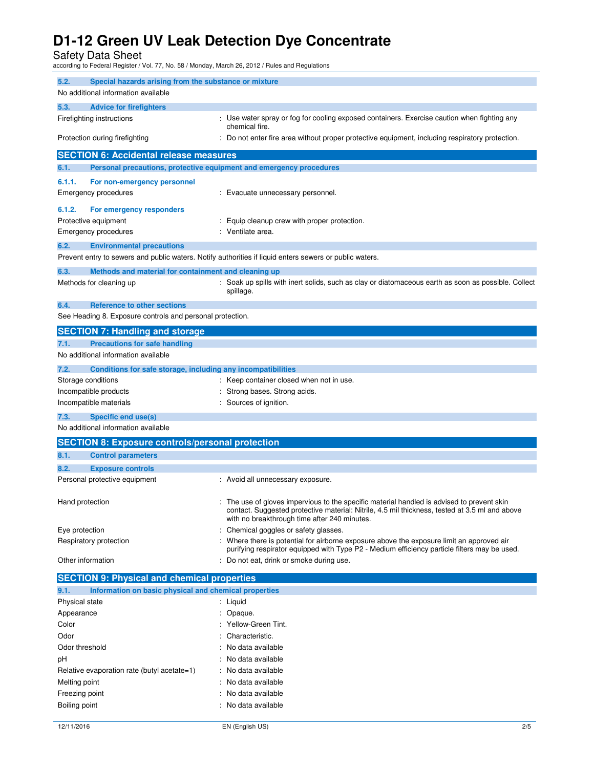Safety Data Sheet according to Federal Register / Vol. 77, No. 58 / Monday, March 26, 2012 / Rules and Regulations

| 5.2.                                            | Special hazards arising from the substance or mixture<br>No additional information available |                                                                                                                                                                                                                                              |  |  |
|-------------------------------------------------|----------------------------------------------------------------------------------------------|----------------------------------------------------------------------------------------------------------------------------------------------------------------------------------------------------------------------------------------------|--|--|
|                                                 |                                                                                              |                                                                                                                                                                                                                                              |  |  |
| 5.3.                                            | <b>Advice for firefighters</b>                                                               |                                                                                                                                                                                                                                              |  |  |
| Firefighting instructions                       |                                                                                              | : Use water spray or fog for cooling exposed containers. Exercise caution when fighting any<br>chemical fire.                                                                                                                                |  |  |
| Protection during firefighting                  |                                                                                              | Do not enter fire area without proper protective equipment, including respiratory protection.                                                                                                                                                |  |  |
|                                                 | <b>SECTION 6: Accidental release measures</b>                                                |                                                                                                                                                                                                                                              |  |  |
| 6.1.                                            | Personal precautions, protective equipment and emergency procedures                          |                                                                                                                                                                                                                                              |  |  |
| 6.1.1.                                          | For non-emergency personnel                                                                  |                                                                                                                                                                                                                                              |  |  |
|                                                 | <b>Emergency procedures</b><br>: Evacuate unnecessary personnel.                             |                                                                                                                                                                                                                                              |  |  |
| 6.1.2.                                          | For emergency responders                                                                     |                                                                                                                                                                                                                                              |  |  |
|                                                 | Protective equipment                                                                         | Equip cleanup crew with proper protection.                                                                                                                                                                                                   |  |  |
|                                                 | <b>Emergency procedures</b>                                                                  | Ventilate area.                                                                                                                                                                                                                              |  |  |
| 6.2.                                            |                                                                                              |                                                                                                                                                                                                                                              |  |  |
|                                                 | <b>Environmental precautions</b>                                                             | Prevent entry to sewers and public waters. Notify authorities if liquid enters sewers or public waters.                                                                                                                                      |  |  |
|                                                 |                                                                                              |                                                                                                                                                                                                                                              |  |  |
| 6.3.                                            | Methods and material for containment and cleaning up                                         |                                                                                                                                                                                                                                              |  |  |
|                                                 | Methods for cleaning up                                                                      | : Soak up spills with inert solids, such as clay or diatomaceous earth as soon as possible. Collect<br>spillage.                                                                                                                             |  |  |
| 6.4.                                            | <b>Reference to other sections</b>                                                           |                                                                                                                                                                                                                                              |  |  |
|                                                 | See Heading 8. Exposure controls and personal protection.                                    |                                                                                                                                                                                                                                              |  |  |
|                                                 | <b>SECTION 7: Handling and storage</b>                                                       |                                                                                                                                                                                                                                              |  |  |
| 7.1.                                            | <b>Precautions for safe handling</b>                                                         |                                                                                                                                                                                                                                              |  |  |
|                                                 | No additional information available                                                          |                                                                                                                                                                                                                                              |  |  |
| 7.2.                                            | Conditions for safe storage, including any incompatibilities                                 |                                                                                                                                                                                                                                              |  |  |
| Storage conditions                              |                                                                                              | : Keep container closed when not in use.                                                                                                                                                                                                     |  |  |
|                                                 |                                                                                              | Strong bases. Strong acids.                                                                                                                                                                                                                  |  |  |
| Incompatible products<br>Incompatible materials |                                                                                              | Sources of ignition.                                                                                                                                                                                                                         |  |  |
| 7.3.                                            | Specific end use(s)                                                                          |                                                                                                                                                                                                                                              |  |  |
|                                                 | No additional information available                                                          |                                                                                                                                                                                                                                              |  |  |
|                                                 |                                                                                              |                                                                                                                                                                                                                                              |  |  |
|                                                 | <b>SECTION 8: Exposure controls/personal protection</b>                                      |                                                                                                                                                                                                                                              |  |  |
| 8.1.                                            | <b>Control parameters</b>                                                                    |                                                                                                                                                                                                                                              |  |  |
| 8.2.                                            | <b>Exposure controls</b>                                                                     |                                                                                                                                                                                                                                              |  |  |
|                                                 | Personal protective equipment                                                                | : Avoid all unnecessary exposure.                                                                                                                                                                                                            |  |  |
| Hand protection                                 |                                                                                              | : The use of gloves impervious to the specific material handled is advised to prevent skin<br>contact. Suggested protective material: Nitrile, 4.5 mil thickness, tested at 3.5 ml and above<br>with no breakthrough time after 240 minutes. |  |  |
| Eye protection                                  |                                                                                              | Chemical goggles or safety glasses.                                                                                                                                                                                                          |  |  |
|                                                 | Respiratory protection                                                                       | Where there is potential for airborne exposure above the exposure limit an approved air<br>purifying respirator equipped with Type P2 - Medium efficiency particle filters may be used.                                                      |  |  |
| Other information                               |                                                                                              | Do not eat, drink or smoke during use.                                                                                                                                                                                                       |  |  |
|                                                 | <b>SECTION 9: Physical and chemical properties</b>                                           |                                                                                                                                                                                                                                              |  |  |
| 9.1.                                            | Information on basic physical and chemical properties                                        |                                                                                                                                                                                                                                              |  |  |
| Physical state                                  |                                                                                              | : Liquid                                                                                                                                                                                                                                     |  |  |
| Appearance<br>Opaque.                           |                                                                                              |                                                                                                                                                                                                                                              |  |  |
| Color                                           |                                                                                              | Yellow-Green Tint.                                                                                                                                                                                                                           |  |  |
| Odor                                            |                                                                                              | Characteristic.                                                                                                                                                                                                                              |  |  |
| Odor threshold                                  |                                                                                              | No data available                                                                                                                                                                                                                            |  |  |
| рH                                              |                                                                                              | No data available                                                                                                                                                                                                                            |  |  |
| Relative evaporation rate (butyl acetate=1)     |                                                                                              | No data available                                                                                                                                                                                                                            |  |  |
| Melting point                                   |                                                                                              | No data available                                                                                                                                                                                                                            |  |  |
| Freezing point                                  |                                                                                              | : No data available                                                                                                                                                                                                                          |  |  |

Boiling point **in the case of the case of the case of the case of the case of the case of the case of the case of the case of the case of the case of the case of the case of the case of the case of the case of the case of**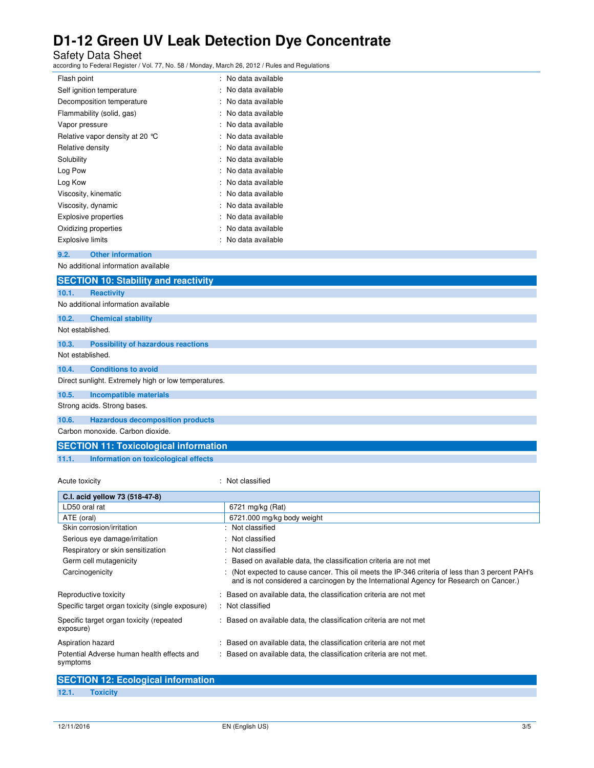Safety Data Sheet according to Federal Register / Vol. 77, No. 58 / Monday, March 26, 2012 / Rules and Regulations

| Flash point                               | : No data available |
|-------------------------------------------|---------------------|
| Self ignition temperature                 | : No data available |
| Decomposition temperature                 | : No data available |
| Flammability (solid, gas)                 | : No data available |
| Vapor pressure                            | : No data available |
| Relative vapor density at 20 $^{\circ}$ C | : No data available |
| Relative density                          | No data available   |
| Solubility                                | : No data available |
| Log Pow                                   | : No data available |
| Log Kow                                   | ∴ No data available |
| Viscosity, kinematic                      | : No data available |
| Viscosity, dynamic                        | : No data available |
| Explosive properties                      | No data available   |
| Oxidizing properties                      | : No data available |
| Explosive limits                          | No data available   |
|                                           |                     |

**9.2. Other information**  No additional information available

|                  | <u>NU auuttulial lillulilatiuli avallable</u>        |  |  |  |
|------------------|------------------------------------------------------|--|--|--|
|                  | <b>SECTION 10: Stability and reactivity</b>          |  |  |  |
| 10.1.            | <b>Reactivity</b>                                    |  |  |  |
|                  | No additional information available                  |  |  |  |
| 10.2.            | <b>Chemical stability</b>                            |  |  |  |
| Not established. |                                                      |  |  |  |
| 10.3.            | <b>Possibility of hazardous reactions</b>            |  |  |  |
| Not established. |                                                      |  |  |  |
| 10.4.            | <b>Conditions to avoid</b>                           |  |  |  |
|                  | Direct sunlight. Extremely high or low temperatures. |  |  |  |
| 10.5.            | Incompatible materials                               |  |  |  |
|                  | Strong acids. Strong bases.                          |  |  |  |
| 10.6.            | <b>Hazardous decomposition products</b>              |  |  |  |
|                  | Carbon monoxide. Carbon dioxide.                     |  |  |  |
|                  | <b>SECTION 11: Toxicological information</b>         |  |  |  |

**11.1. Information on toxicological effects** 

Acute toxicity : Not classified

| C.I. acid yellow 73 (518-47-8)                         |                                                                                                                                                                                             |  |
|--------------------------------------------------------|---------------------------------------------------------------------------------------------------------------------------------------------------------------------------------------------|--|
| LD50 oral rat                                          | 6721 mg/kg (Rat)                                                                                                                                                                            |  |
| ATE (oral)                                             | 6721.000 mg/kg body weight                                                                                                                                                                  |  |
| Skin corrosion/irritation                              | : Not classified                                                                                                                                                                            |  |
| Serious eye damage/irritation                          | : Not classified                                                                                                                                                                            |  |
| Respiratory or skin sensitization                      | : Not classified                                                                                                                                                                            |  |
| Germ cell mutagenicity                                 | : Based on available data, the classification criteria are not met                                                                                                                          |  |
| Carcinogenicity                                        | : (Not expected to cause cancer. This oil meets the IP-346 criteria of less than 3 percent PAH's<br>and is not considered a carcinogen by the International Agency for Research on Cancer.) |  |
| Reproductive toxicity                                  | : Based on available data, the classification criteria are not met                                                                                                                          |  |
| Specific target organ toxicity (single exposure)       | : Not classified                                                                                                                                                                            |  |
| Specific target organ toxicity (repeated<br>exposure)  | : Based on available data, the classification criteria are not met                                                                                                                          |  |
| Aspiration hazard                                      | : Based on available data, the classification criteria are not met                                                                                                                          |  |
| Potential Adverse human health effects and<br>symptoms | : Based on available data, the classification criteria are not met.                                                                                                                         |  |

|       | <b>SECTION 12: Ecological information</b> |  |
|-------|-------------------------------------------|--|
| 12.1. | <b>Toxicity</b>                           |  |
|       |                                           |  |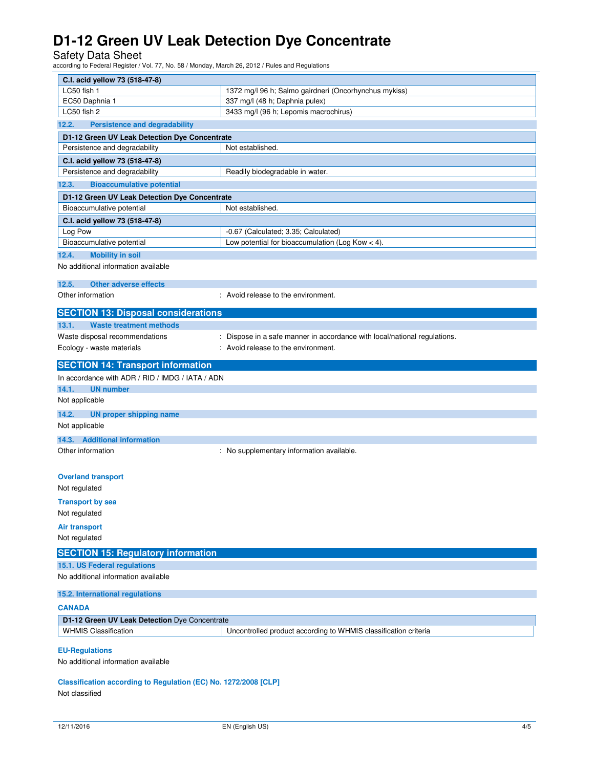Safety Data Sheet according to Federal Register / Vol. 77, No. 58 / Monday, March 26, 2012 / Rules and Regulations

| C.I. acid yellow 73 (518-47-8)                                  |                                                                           |  |  |
|-----------------------------------------------------------------|---------------------------------------------------------------------------|--|--|
| LC50 fish 1                                                     | 1372 mg/l 96 h; Salmo gairdneri (Oncorhynchus mykiss)                     |  |  |
| EC50 Daphnia 1                                                  | 337 mg/l (48 h; Daphnia pulex)                                            |  |  |
| LC50 fish 2                                                     | 3433 mg/l (96 h; Lepomis macrochirus)                                     |  |  |
| 12.2.<br><b>Persistence and degradability</b>                   |                                                                           |  |  |
| D1-12 Green UV Leak Detection Dye Concentrate                   |                                                                           |  |  |
| Persistence and degradability                                   | Not established.                                                          |  |  |
| C.I. acid yellow 73 (518-47-8)                                  |                                                                           |  |  |
| Persistence and degradability                                   | Readily biodegradable in water.                                           |  |  |
| 12.3.<br><b>Bioaccumulative potential</b>                       |                                                                           |  |  |
| D1-12 Green UV Leak Detection Dye Concentrate                   |                                                                           |  |  |
| Bioaccumulative potential                                       | Not established.                                                          |  |  |
| C.I. acid yellow 73 (518-47-8)                                  |                                                                           |  |  |
| Log Pow                                                         | -0.67 (Calculated; 3.35; Calculated)                                      |  |  |
| Bioaccumulative potential                                       | Low potential for bioaccumulation (Log Kow $<$ 4).                        |  |  |
| 12.4.<br><b>Mobility in soil</b>                                |                                                                           |  |  |
| No additional information available                             |                                                                           |  |  |
| 12.5.<br><b>Other adverse effects</b>                           |                                                                           |  |  |
| Other information                                               | : Avoid release to the environment.                                       |  |  |
|                                                                 |                                                                           |  |  |
| <b>SECTION 13: Disposal considerations</b>                      |                                                                           |  |  |
| 13.1.<br>Waste treatment methods                                |                                                                           |  |  |
| Waste disposal recommendations                                  | : Dispose in a safe manner in accordance with local/national regulations. |  |  |
| Ecology - waste materials                                       | : Avoid release to the environment.                                       |  |  |
| <b>SECTION 14: Transport information</b>                        |                                                                           |  |  |
| In accordance with ADR / RID / IMDG / IATA / ADN                |                                                                           |  |  |
| <b>UN number</b><br>14.1.                                       |                                                                           |  |  |
| Not applicable                                                  |                                                                           |  |  |
| 14.2.<br><b>UN proper shipping name</b>                         |                                                                           |  |  |
| Not applicable                                                  |                                                                           |  |  |
| 14.3. Additional information                                    |                                                                           |  |  |
| Other information                                               | : No supplementary information available.                                 |  |  |
|                                                                 |                                                                           |  |  |
| <b>Overland transport</b>                                       |                                                                           |  |  |
| Not regulated                                                   |                                                                           |  |  |
|                                                                 |                                                                           |  |  |
| <b>Transport by sea</b>                                         |                                                                           |  |  |
| Not regulated                                                   |                                                                           |  |  |
| <b>Air transport</b>                                            |                                                                           |  |  |
| Not regulated                                                   |                                                                           |  |  |
| <b>SECTION 15: Regulatory information</b>                       |                                                                           |  |  |
| 15.1. US Federal regulations                                    |                                                                           |  |  |
| No additional information available                             |                                                                           |  |  |
| 15.2. International regulations                                 |                                                                           |  |  |
|                                                                 |                                                                           |  |  |
| <b>CANADA</b>                                                   |                                                                           |  |  |
| D1-12 Green UV Leak Detection Dye Concentrate                   |                                                                           |  |  |
| <b>WHMIS Classification</b>                                     | Uncontrolled product according to WHMIS classification criteria           |  |  |
| <b>EU-Regulations</b>                                           |                                                                           |  |  |
| No additional information available                             |                                                                           |  |  |
|                                                                 |                                                                           |  |  |
| Classification according to Regulation (EC) No. 1272/2008 [CLP] |                                                                           |  |  |
| Not classified                                                  |                                                                           |  |  |
|                                                                 |                                                                           |  |  |